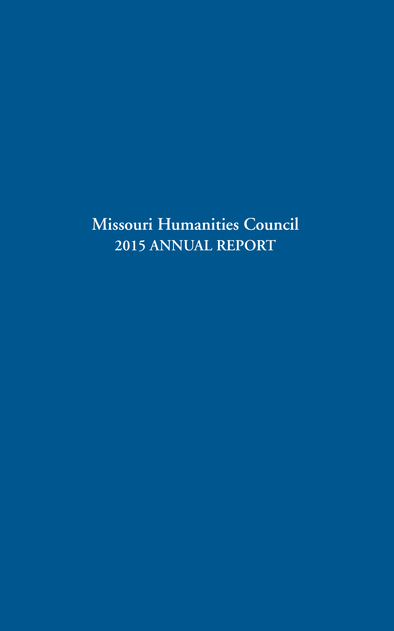# **Missouri Humanities Council 2015 ANNUAL REPORT**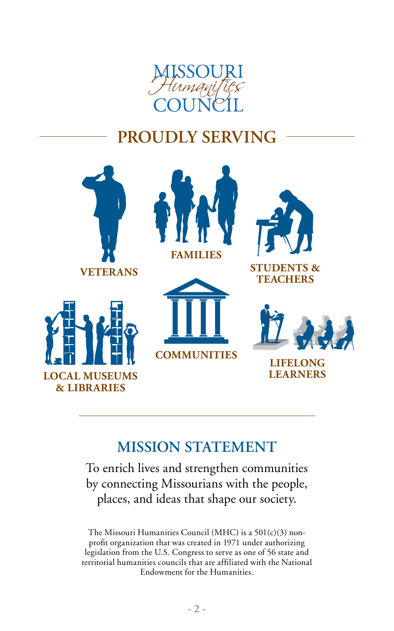

# **PROUDLY SERVING**



# **MISSION STATEMENT**

To enrich lives and strengthen communities by connecting Missourians with the people, places, and ideas that shape our society.

The Missouri Humanities Council (MHC) is a 501(c)(3) nonprofit organization that was created in 1971 under authorizing legislation from the U.S. Congress to serve as one of 56 state and territorial humanities councils that are affiliated with the National Endowment for the Humanities.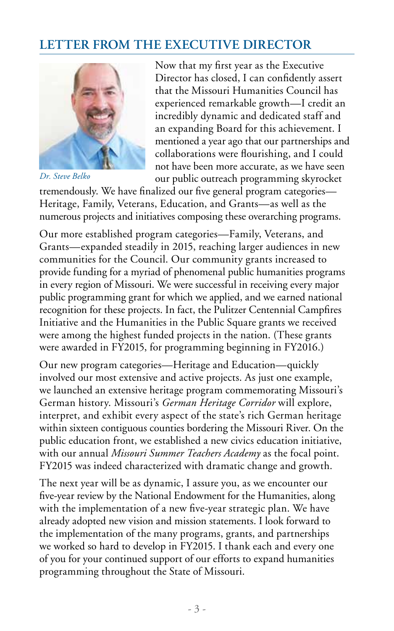# **LETTER FROM THE EXECUTIVE DIRECTOR**



*Dr. Steve Belko*

Now that my first year as the Executive Director has closed, I can confidently assert that the Missouri Humanities Council has experienced remarkable growth—I credit an incredibly dynamic and dedicated staff and an expanding Board for this achievement. I mentioned a year ago that our partnerships and collaborations were flourishing, and I could not have been more accurate, as we have seen our public outreach programming skyrocket

tremendously. We have finalized our five general program categories— Heritage, Family, Veterans, Education, and Grants—as well as the numerous projects and initiatives composing these overarching programs.

Our more established program categories—Family, Veterans, and Grants—expanded steadily in 2015, reaching larger audiences in new communities for the Council. Our community grants increased to provide funding for a myriad of phenomenal public humanities programs in every region of Missouri. We were successful in receiving every major public programming grant for which we applied, and we earned national recognition for these projects. In fact, the Pulitzer Centennial Campfires Initiative and the Humanities in the Public Square grants we received were among the highest funded projects in the nation. (These grants were awarded in FY2015, for programming beginning in FY2016.)

Our new program categories—Heritage and Education—quickly involved our most extensive and active projects. As just one example, we launched an extensive heritage program commemorating Missouri's German history. Missouri's *German Heritage Corridor* will explore, interpret, and exhibit every aspect of the state's rich German heritage within sixteen contiguous counties bordering the Missouri River. On the public education front, we established a new civics education initiative, with our annual *Missouri Summer Teachers Academy* as the focal point. FY2015 was indeed characterized with dramatic change and growth.

The next year will be as dynamic, I assure you, as we encounter our five-year review by the National Endowment for the Humanities, along with the implementation of a new five-year strategic plan. We have already adopted new vision and mission statements. I look forward to the implementation of the many programs, grants, and partnerships we worked so hard to develop in FY2015. I thank each and every one of you for your continued support of our efforts to expand humanities programming throughout the State of Missouri.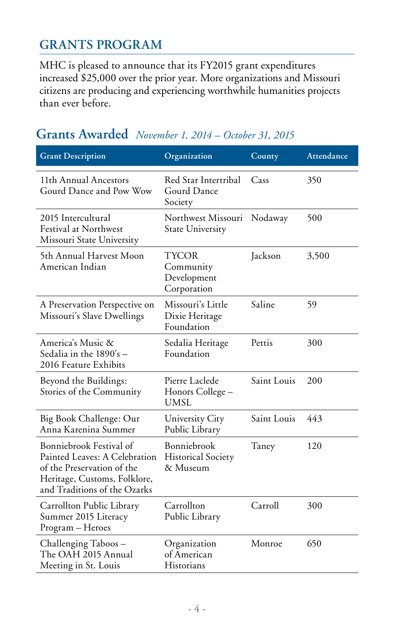# **GRANTS PROGRAM**

MHC is pleased to announce that its FY2015 grant expenditures increased \$25,000 over the prior year. More organizations and Missouri citizens are producing and experiencing worthwhile humanities projects than ever before.

### **Grants Awarded** *November 1, 2014 – October 31, 2015*

| <b>Grant Description</b>                                                                                                                               | Organization                                         | County      | Attendance |
|--------------------------------------------------------------------------------------------------------------------------------------------------------|------------------------------------------------------|-------------|------------|
| 11th Annual Ancestors<br>Gourd Dance and Pow Wow                                                                                                       | Red Star Intertribal<br>Gourd Dance<br>Society       | Cass        | 350        |
| 2015 Intercultural<br>Festival at Northwest<br>Missouri State University                                                                               | Northwest Missouri<br><b>State University</b>        | Nodaway     | 500        |
| 5th Annual Harvest Moon<br>American Indian                                                                                                             | TYCOR<br>Community<br>Development<br>Corporation     | Jackson     | 3,500      |
| A Preservation Perspective on<br>Missouri's Slave Dwellings                                                                                            | Missouri's Little<br>Dixie Heritage<br>Foundation    | Saline      | 59         |
| America's Music &<br>Sedalia in the 1890's -<br>2016 Feature Exhibits                                                                                  | Sedalia Heritage<br>Foundation                       | Pettis      | 300        |
| Beyond the Buildings:<br>Stories of the Community                                                                                                      | Pierre Laclede<br>Honors College –<br>UMSL           | Saint Louis | 200        |
| Big Book Challenge: Our<br>Anna Karenina Summer                                                                                                        | University City<br>Public Library                    | Saint Louis | 443        |
| Bonniebrook Festival of<br>Painted Leaves: A Celebration<br>of the Preservation of the<br>Heritage, Customs, Folklore,<br>and Traditions of the Ozarks | Bonniebrook<br><b>Historical Society</b><br>& Museum | Taney       | 120        |
| Carrollton Public Library<br>Summer 2015 Literacy<br>Program - Heroes                                                                                  | Carrollton<br>Public Library                         | Carroll     | 300        |
| Challenging Taboos -<br>The OAH 2015 Annual<br>Meeting in St. Louis                                                                                    | Organization<br>of American<br>Historians            | Monroe      | 650        |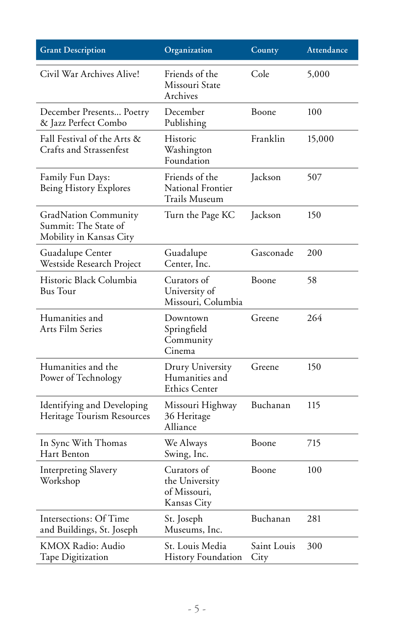| <b>Grant Description</b>                                                       | Organization                                                 | County              | Attendance |
|--------------------------------------------------------------------------------|--------------------------------------------------------------|---------------------|------------|
| Civil War Archives Alive!                                                      | Friends of the<br>Missouri State<br>Archives                 | Cole                | 5,000      |
| December Presents Poetry<br>& Jazz Perfect Combo                               | December<br>Publishing                                       | Boone               | 100        |
| Fall Festival of the Arts &<br>Crafts and Strassenfest                         | Historic<br>Washington<br>Foundation                         | Franklin            | 15,000     |
| Family Fun Days:<br>Being History Explores                                     | Friends of the<br>National Frontier<br>Trails Museum         | Jackson             | 507        |
| <b>GradNation Community</b><br>Summit: The State of<br>Mobility in Kansas City | Turn the Page KC                                             | Jackson             | 150        |
| Guadalupe Center<br>Westside Research Project                                  | Guadalupe<br>Center, Inc.                                    | Gasconade           | 200        |
| Historic Black Columbia<br><b>Bus</b> Tour                                     | Curators of<br>University of<br>Missouri, Columbia           | Boone               | 58         |
| Humanities and<br>Arts Film Series                                             | Downtown<br>Springfield<br>Community<br>Cinema               | Greene              | 264        |
| Humanities and the<br>Power of Technology                                      | Drury University<br>Humanities and<br><b>Ethics Center</b>   | Greene              | 150        |
| Identifying and Developing<br>Heritage Tourism Resources                       | Missouri Highway<br>36 Heritage<br>Alliance                  | Buchanan            | 115        |
| In Sync With Thomas<br>Hart Benton                                             | We Always<br>Swing, Inc.                                     | Boone               | 715        |
| <b>Interpreting Slavery</b><br>Workshop                                        | Curators of<br>the University<br>of Missouri,<br>Kansas City | Boone               | 100        |
| Intersections: Of Time<br>and Buildings, St. Joseph                            | St. Joseph<br>Museums, Inc.                                  | Buchanan            | 281        |
| KMOX Radio: Audio<br>Tape Digitization                                         | St. Louis Media<br>History Foundation                        | Saint Louis<br>City | 300        |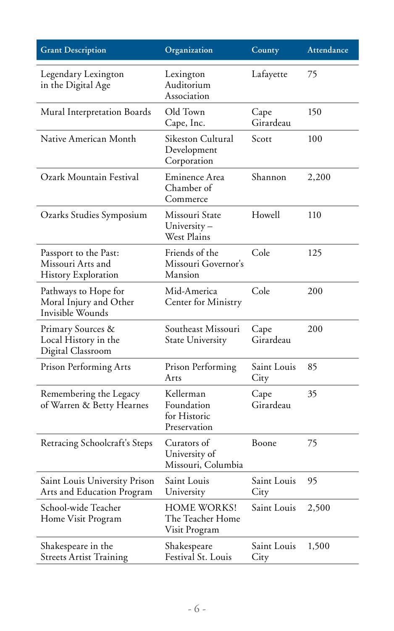| <b>Grant Description</b>                                           | Organization                                            | County              | Attendance |
|--------------------------------------------------------------------|---------------------------------------------------------|---------------------|------------|
| Legendary Lexington<br>in the Digital Age                          | Lexington<br>Auditorium<br>Association                  | Lafayette           | 75         |
| Mural Interpretation Boards                                        | Old Town<br>Cape, Inc.                                  | Cape<br>Girardeau   | 150        |
| Native American Month                                              | Sikeston Cultural<br>Development<br>Corporation         | Scott               | 100        |
| Ozark Mountain Festival                                            | Eminence Area<br>Chamber of<br>Commerce                 | Shannon             | 2,200      |
| Ozarks Studies Symposium                                           | Missouri State<br>University-<br>West Plains            | Howell              | 110        |
| Passport to the Past:<br>Missouri Arts and<br>History Exploration  | Friends of the<br>Missouri Governor's<br>Mansion        | Cole                | 125        |
| Pathways to Hope for<br>Moral Injury and Other<br>Invisible Wounds | Mid-America<br>Center for Ministry                      | Cole                | 200        |
| Primary Sources &<br>Local History in the<br>Digital Classroom     | Southeast Missouri<br>State University                  | Cape<br>Girardeau   | 200        |
| Prison Performing Arts                                             | Prison Performing<br>Arts                               | Saint Louis<br>City | 85         |
| Remembering the Legacy<br>of Warren & Betty Hearnes                | Kellerman<br>Foundation<br>for Historic<br>Preservation | Cape<br>Girardeau   | 35         |
| Retracing Schoolcraft's Steps                                      | Curators of<br>University of<br>Missouri, Columbia      | Boone               | 75         |
| Saint Louis University Prison<br>Arts and Education Program        | Saint Louis<br>University                               | Saint Louis<br>City | 95         |
| School-wide Teacher<br>Home Visit Program                          | HOME WORKS!<br>The Teacher Home<br>Visit Program        | Saint Louis         | 2,500      |
| Shakespeare in the<br><b>Streets Artist Training</b>               | Shakespeare<br>Festival St. Louis                       | Saint Louis<br>City | 1,500      |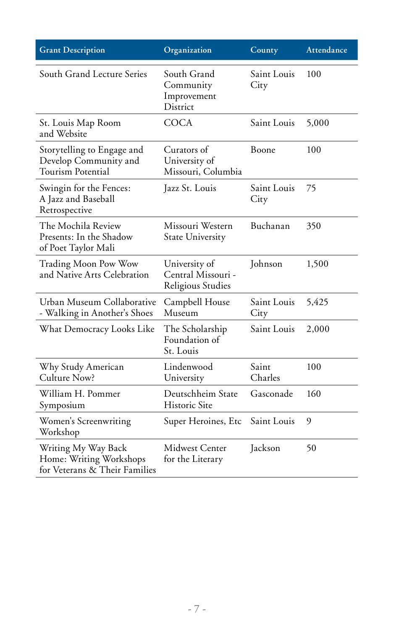| <b>Grant Description</b>                                                        | Organization                                               | County              | Attendance |
|---------------------------------------------------------------------------------|------------------------------------------------------------|---------------------|------------|
| South Grand Lecture Series                                                      | South Grand<br>Community<br>Improvement<br><b>District</b> | Saint Louis<br>City | 100        |
| St. Louis Map Room<br>and Website                                               | <b>COCA</b>                                                | Saint Louis         | 5,000      |
| Storytelling to Engage and<br>Develop Community and<br>Tourism Potential        | Curators of<br>University of<br>Missouri, Columbia         | Boone               | 100        |
| Swingin for the Fences:<br>A Jazz and Baseball<br>Retrospective                 | Jazz St. Louis                                             | Saint Louis<br>City | 75         |
| The Mochila Review<br>Presents: In the Shadow<br>of Poet Taylor Mali            | Missouri Western<br><b>State University</b>                | Buchanan            | 350        |
| <b>Trading Moon Pow Wow</b><br>and Native Arts Celebration                      | University of<br>Central Missouri -<br>Religious Studies   | Johnson             | 1,500      |
| Urban Museum Collaborative<br>- Walking in Another's Shoes                      | Campbell House<br>Museum                                   | Saint Louis<br>City | 5,425      |
| What Democracy Looks Like                                                       | The Scholarship<br>Foundation of<br>St. Louis              | Saint Louis         | 2,000      |
| Why Study American<br>Culture Now?                                              | Lindenwood<br>University                                   | Saint<br>Charles    | 100        |
| William H. Pommer<br>Symposium                                                  | Deutschheim State<br><b>Historic Site</b>                  | Gasconade           | 160        |
| Women's Screenwriting<br>Workshop                                               | Super Heroines, Etc                                        | Saint Louis         | 9          |
| Writing My Way Back<br>Home: Writing Workshops<br>for Veterans & Their Families | <b>Midwest Center</b><br>for the Literary                  | Jackson             | 50         |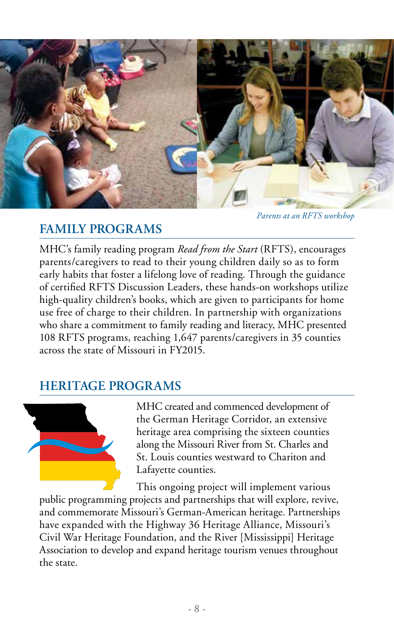

*Parents at an RFTS workshop*

# **FAMILY PROGRAMS**

MHC's family reading program *Read from the Start* (RFTS), encourages parents/caregivers to read to their young children daily so as to form early habits that foster a lifelong love of reading. Through the guidance of certified RFTS Discussion Leaders, these hands-on workshops utilize high-quality children's books, which are given to participants for home use free of charge to their children. In partnership with organizations who share a commitment to family reading and literacy, MHC presented 108 RFTS programs, reaching 1,647 parents/caregivers in 35 counties across the state of Missouri in FY2015.

# **HERITAGE PROGRAMS**



MHC created and commenced development of the German Heritage Corridor, an extensive heritage area comprising the sixteen counties along the Missouri River from St. Charles and St. Louis counties westward to Chariton and Lafayette counties.

This ongoing project will implement various public programming projects and partnerships that will explore, revive, and commemorate Missouri's German-American heritage. Partnerships have expanded with the Highway 36 Heritage Alliance, Missouri's Civil War Heritage Foundation, and the River [Mississippi] Heritage Association to develop and expand heritage tourism venues throughout the state.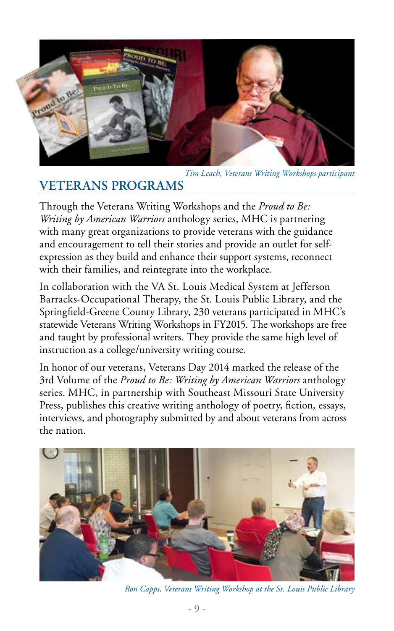

*Tim Leach, Veterans Writing Workshops participant*

# **VETERANS PROGRAMS**

Through the Veterans Writing Workshops and the *Proud to Be: Writing by American Warriors* anthology series, MHC is partnering with many great organizations to provide veterans with the guidance and encouragement to tell their stories and provide an outlet for selfexpression as they build and enhance their support systems, reconnect with their families, and reintegrate into the workplace.

In collaboration with the VA St. Louis Medical System at Jefferson Barracks-Occupational Therapy, the St. Louis Public Library, and the Springfield-Greene County Library, 230 veterans participated in MHC's statewide Veterans Writing Workshops in FY2015. The workshops are free and taught by professional writers. They provide the same high level of instruction as a college/university writing course.

In honor of our veterans, Veterans Day 2014 marked the release of the 3rd Volume of the *Proud to Be: Writing by American Warriors* anthology series. MHC, in partnership with Southeast Missouri State University Press, publishes this creative writing anthology of poetry, fiction, essays, interviews, and photography submitted by and about veterans from across the nation.



*Ron Capps, Veterans Writing Workshop at the St. Louis Public Library*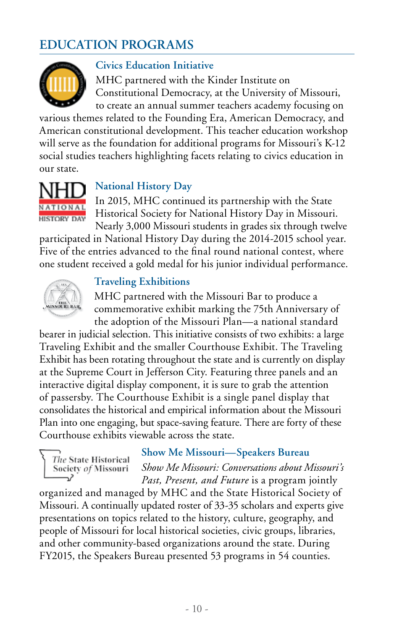# **EDUCATION PROGRAMS**



### **Civics Education Initiative**

MHC partnered with the Kinder Institute on Constitutional Democracy, at the University of Missouri, to create an annual summer teachers academy focusing on

various themes related to the Founding Era, American Democracy, and American constitutional development. This teacher education workshop will serve as the foundation for additional programs for Missouri's K-12 social studies teachers highlighting facets relating to civics education in our state.



### **National History Day**

In 2015, MHC continued its partnership with the State Historical Society for National History Day in Missouri. Nearly 3,000 Missouri students in grades six through twelve

participated in National History Day during the 2014-2015 school year. Five of the entries advanced to the final round national contest, where one student received a gold medal for his junior individual performance.



### **Traveling Exhibitions**

MHC partnered with the Missouri Bar to produce a commemorative exhibit marking the 75th Anniversary of the adoption of the Missouri Plan—a national standard

bearer in judicial selection. This initiative consists of two exhibits: a large Traveling Exhibit and the smaller Courthouse Exhibit. The Traveling Exhibit has been rotating throughout the state and is currently on display at the Supreme Court in Jefferson City. Featuring three panels and an interactive digital display component, it is sure to grab the attention of passersby. The Courthouse Exhibit is a single panel display that consolidates the historical and empirical information about the Missouri Plan into one engaging, but space-saving feature. There are forty of these Courthouse exhibits viewable across the state.

The State Historical Society of Missouri

### **Show Me Missouri—Speakers Bureau**

*Show Me Missouri: Conversations about Missouri's Past, Present, and Future* is a program jointly

organized and managed by MHC and the State Historical Society of Missouri. A continually updated roster of 33-35 scholars and experts give presentations on topics related to the history, culture, geography, and people of Missouri for local historical societies, civic groups, libraries, and other community-based organizations around the state. During FY2015, the Speakers Bureau presented 53 programs in 54 counties.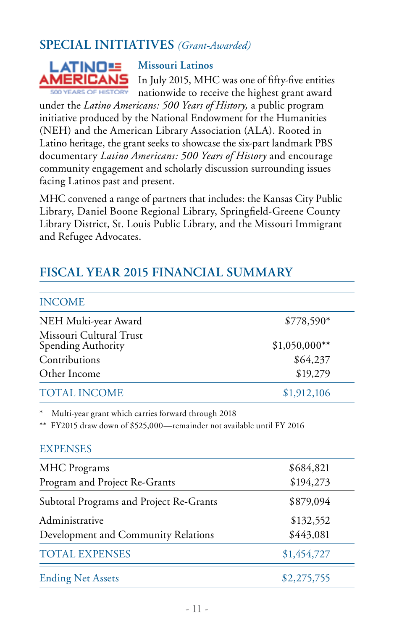# **SPECIAL INITIATIVES** *(Grant-Awarded)*



### **Missouri Latinos**

In July 2015, MHC was one of fifty-five entities nationwide to receive the highest grant award

under the *Latino Americans: 500 Years of History,* a public program initiative produced by the National Endowment for the Humanities (NEH) and the American Library Association (ALA). Rooted in Latino heritage, the grant seeks to showcase the six-part landmark PBS documentary *Latino Americans: 500 Years of History* and encourage community engagement and scholarly discussion surrounding issues facing Latinos past and present.

MHC convened a range of partners that includes: the Kansas City Public Library, Daniel Boone Regional Library, Springfield-Greene County Library District, St. Louis Public Library, and the Missouri Immigrant and Refugee Advocates.

# **FISCAL YEAR 2015 FINANCIAL SUMMARY**

| <b>INCOME</b>                                                                                                                                    |                |
|--------------------------------------------------------------------------------------------------------------------------------------------------|----------------|
| NEH Multi-year Award                                                                                                                             | \$778,590*     |
| Missouri Cultural Trust<br>Spending Authority                                                                                                    | $$1,050,000**$ |
| Contributions                                                                                                                                    | \$64,237       |
| Other Income                                                                                                                                     | \$19,279       |
| TOTAL INCOME                                                                                                                                     | \$1,912,106    |
| Multi-year grant which carries forward through 2018<br>** FY2015 draw down of \$525,000—remainder not available until FY 2016<br><b>EXPENSES</b> |                |
| <b>MHC</b> Programs                                                                                                                              | \$684,821      |
| Program and Project Re-Grants                                                                                                                    | \$194,273      |
| Subtotal Programs and Project Re-Grants                                                                                                          | \$879,094      |
| Administrative                                                                                                                                   | \$132,552      |
| Development and Community Relations                                                                                                              | \$443,081      |
| <b>TOTAL EXPENSES</b>                                                                                                                            | \$1,454,727    |
| <b>Ending Net Assets</b>                                                                                                                         | \$2,275,755    |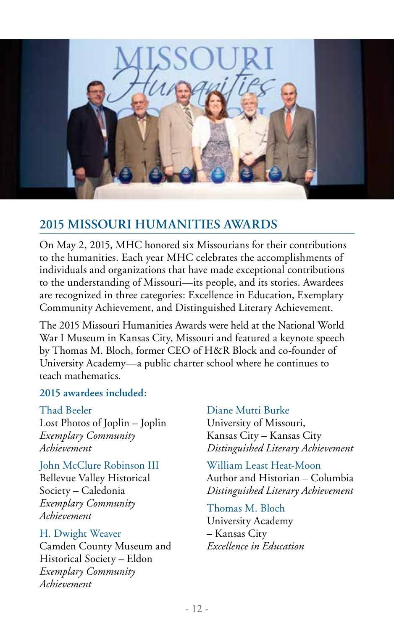

### **2015 MISSOURI HUMANITIES AWARDS**

On May 2, 2015, MHC honored six Missourians for their contributions to the humanities. Each year MHC celebrates the accomplishments of individuals and organizations that have made exceptional contributions to the understanding of Missouri—its people, and its stories. Awardees are recognized in three categories: Excellence in Education, Exemplary Community Achievement, and Distinguished Literary Achievement.

The 2015 Missouri Humanities Awards were held at the National World War I Museum in Kansas City, Missouri and featured a keynote speech by Thomas M. Bloch, former CEO of H&R Block and co-founder of University Academy—a public charter school where he continues to teach mathematics.

### **2015 awardees included:**

#### Thad Beeler

Lost Photos of Joplin – Joplin *Exemplary Community Achievement*

John McClure Robinson III Bellevue Valley Historical Society – Caledonia *Exemplary Community Achievement*

### H. Dwight Weaver

Camden County Museum and Historical Society – Eldon *Exemplary Community Achievement*

### Diane Mutti Burke

University of Missouri, Kansas City – Kansas City *Distinguished Literary Achievement*

William Least Heat-Moon Author and Historian – Columbia

*Distinguished Literary Achievement*

Thomas M. Bloch University Academy – Kansas City *Excellence in Education*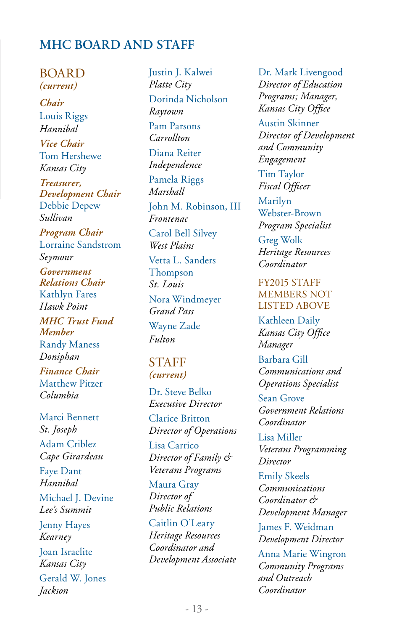### **MHC BOARD AND STAFF**

**BOARD** *(current) Chair* Louis Riggs *Hannibal Vice Chair*  Tom Hershewe *Kansas City Treasurer, Development Chair*  Debbie Depew *Sullivan Program Chair* Lorraine Sandstrom *Seymour Government Relations Chair* Kathlyn Fares *Hawk Point MHC Trust Fund Member* Randy Maness *Doniphan Finance Chair* Matthew Pitzer *Columbia* Marci Bennett

*St. Joseph* Adam Criblez *Cape Girardeau* Faye Dant *Hannibal* Michael J. Devine *Lee's Summit* Jenny Hayes *Kearney* Joan Israelite *Kansas City* Gerald W. Jones *Jackson*

Justin J. Kalwei *Platte City* Dorinda Nicholson *Raytown* Pam Parsons *Carrollton* Diana Reiter *Independence* Pamela Riggs *Marshall* John M. Robinson, III *Frontenac* Carol Bell Silvey *West Plains* Vetta L. Sanders Thompson *St. Louis* Nora Windmeyer *Grand Pass* Wayne Zade *Fulton*  STAFF *(current)*

Dr. Steve Belko *Executive Director*

Clarice Britton *Director of Operations*

Lisa Carrico *Director of Family & Veterans Programs*

Maura Gray *Director of Public Relations*

### Caitlin O'Leary *Heritage Resources Coordinator and Development Associate*

Dr. Mark Livengood *Director of Education Programs; Manager, Kansas City Office*

Austin Skinner *Director of Development and Community Engagement*

Tim Taylor *Fiscal Officer*

Marilyn Webster-Brown *Program Specialist*

Greg Wolk *Heritage Resources Coordinator*

#### FY2015 STAFF MEMBERS NOT LISTED ABOVE

Kathleen Daily *Kansas City Office Manager*

Barbara Gill *Communications and Operations Specialist*

Sean Grove *Government Relations Coordinator*

Lisa Miller *Veterans Programming Director*

Emily Skeels *Communications Coordinator & Development Manager*

James F. Weidman *Development Director*

Anna Marie Wingron *Community Programs and Outreach Coordinator*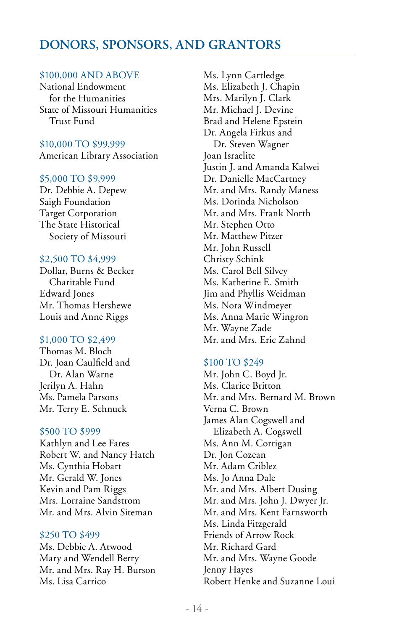### **DONORS, SPONSORS, AND GRANTORS**

#### \$100,000 AND ABOVE

National Endowment for the Humanities State of Missouri Humanities Trust Fund

#### \$10,000 TO \$99,999 American Library Association

#### \$5,000 TO \$9,999

Dr. Debbie A. Depew Saigh Foundation Target Corporation The State Historical Society of Missouri

#### \$2,500 TO \$4,999

Dollar, Burns & Becker Charitable Fund Edward Jones Mr. Thomas Hershewe Louis and Anne Riggs

#### \$1,000 TO \$2,499

Thomas M. Bloch Dr. Joan Caulfield and Dr. Alan Warne Jerilyn A. Hahn Ms. Pamela Parsons Mr. Terry E. Schnuck

#### \$500 TO \$999

Kathlyn and Lee Fares Robert W. and Nancy Hatch Ms. Cynthia Hobart Mr. Gerald W. Jones Kevin and Pam Riggs Mrs. Lorraine Sandstrom Mr. and Mrs. Alvin Siteman

#### \$250 TO \$499

Ms. Debbie A. Atwood Mary and Wendell Berry Mr. and Mrs. Ray H. Burson Ms. Lisa Carrico

Ms. Lynn Cartledge Ms. Elizabeth J. Chapin Mrs. Marilyn J. Clark Mr. Michael J. Devine Brad and Helene Epstein Dr. Angela Firkus and Dr. Steven Wagner Joan Israelite Justin J. and Amanda Kalwei Dr. Danielle MacCartney Mr. and Mrs. Randy Maness Ms. Dorinda Nicholson Mr. and Mrs. Frank North Mr. Stephen Otto Mr. Matthew Pitzer Mr. John Russell Christy Schink Ms. Carol Bell Silvey Ms. Katherine E. Smith Jim and Phyllis Weidman Ms. Nora Windmeyer Ms. Anna Marie Wingron Mr. Wayne Zade Mr. and Mrs. Eric Zahnd

#### \$100 TO \$249

Mr. John C. Boyd Jr. Ms. Clarice Britton Mr. and Mrs. Bernard M. Brown Verna C. Brown James Alan Cogswell and Elizabeth A. Cogswell Ms. Ann M. Corrigan Dr. Jon Cozean Mr. Adam Criblez Ms. Jo Anna Dale Mr. and Mrs. Albert Dusing Mr. and Mrs. John J. Dwyer Jr. Mr. and Mrs. Kent Farnsworth Ms. Linda Fitzgerald Friends of Arrow Rock Mr. Richard Gard Mr. and Mrs. Wayne Goode Jenny Hayes Robert Henke and Suzanne Loui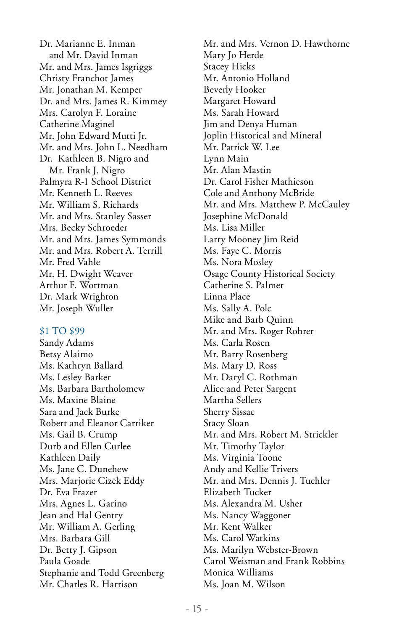Dr. Marianne E. Inman and Mr. David Inman Mr. and Mrs. James Isgriggs Christy Franchot James Mr. Jonathan M. Kemper Dr. and Mrs. James R. Kimmey Mrs. Carolyn F. Loraine Catherine Maginel Mr. John Edward Mutti Jr. Mr. and Mrs. John L. Needham Dr. Kathleen B. Nigro and Mr. Frank J. Nigro Palmyra R-1 School District Mr. Kenneth L. Reeves Mr. William S. Richards Mr. and Mrs. Stanley Sasser Mrs. Becky Schroeder Mr. and Mrs. James Symmonds Mr. and Mrs. Robert A. Terrill Mr. Fred Vahle Mr. H. Dwight Weaver Arthur F. Wortman Dr. Mark Wrighton Mr. Joseph Wuller

#### \$1 TO \$99

Sandy Adams Betsy Alaimo Ms. Kathryn Ballard Ms. Lesley Barker Ms. Barbara Bartholomew Ms. Maxine Blaine Sara and Jack Burke Robert and Eleanor Carriker Ms. Gail B. Crump Durb and Ellen Curlee Kathleen Daily Ms. Jane C. Dunehew Mrs. Marjorie Cizek Eddy Dr. Eva Frazer Mrs. Agnes L. Garino Jean and Hal Gentry Mr. William A. Gerling Mrs. Barbara Gill Dr. Betty J. Gipson Paula Goade Stephanie and Todd Greenberg Mr. Charles R. Harrison

Mr. and Mrs. Vernon D. Hawthorne Mary Jo Herde Stacey Hicks Mr. Antonio Holland Beverly Hooker Margaret Howard Ms. Sarah Howard Jim and Denya Human Joplin Historical and Mineral Mr. Patrick W. Lee Lynn Main Mr. Alan Mastin Dr. Carol Fisher Mathieson Cole and Anthony McBride Mr. and Mrs. Matthew P. McCauley Josephine McDonald Ms. Lisa Miller Larry Mooney Jim Reid Ms. Faye C. Morris Ms. Nora Mosley Osage County Historical Society Catherine S. Palmer Linna Place Ms. Sally A. Polc Mike and Barb Quinn Mr. and Mrs. Roger Rohrer Ms. Carla Rosen Mr. Barry Rosenberg Ms. Mary D. Ross Mr. Daryl C. Rothman Alice and Peter Sargent Martha Sellers Sherry Sissac Stacy Sloan Mr. and Mrs. Robert M. Strickler Mr. Timothy Taylor Ms. Virginia Toone Andy and Kellie Trivers Mr. and Mrs. Dennis J. Tuchler Elizabeth Tucker Ms. Alexandra M. Usher Ms. Nancy Waggoner Mr. Kent Walker Ms. Carol Watkins Ms. Marilyn Webster-Brown Carol Weisman and Frank Robbins Monica Williams Ms. Joan M. Wilson